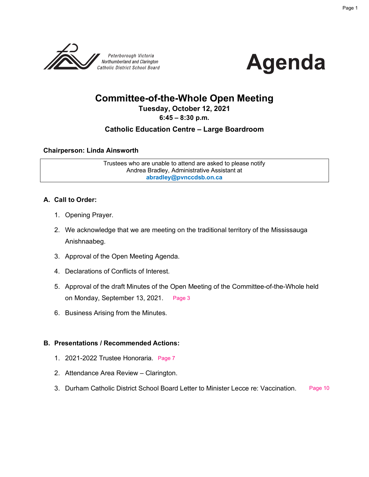



# **Committee-of-the-Whole Open Meeting**

#### **Tuesday, October 12, 2021**

#### **6:45 – 8:30 p.m.**

#### **Catholic Education Centre – Large Boardroom**

#### **Chairperson: Linda Ainsworth**

Trustees who are unable to attend are asked to please notify Andrea Bradley, Administrative Assistant at **abradley@pvnccdsb.on.ca**

#### **A. Call to Order:**

- 1. Opening Prayer.
- 2. We acknowledge that we are meeting on the traditional territory of the Mississauga Anishnaabeg.
- 3. Approval of the Open Meeting Agenda.
- 4. Declarations of Conflicts of Interest.
- 5. Approval of the draft Minutes of the Open Meeting of the Committee-of-the-Whole held on Monday, September 13, 2021. [Page 3](#page-2-0)
- 6. Business Arising from the Minutes.

#### **B. Presentations / Recommended Actions:**

- 1. 2021-2022 Trustee Honoraria. [Page 7](#page-6-0)
- 2. Attendance Area Review Clarington.
- 3. Durham Catholic District School Board Letter to Minister Lecce re: Vaccination. [Page 10](#page-9-0)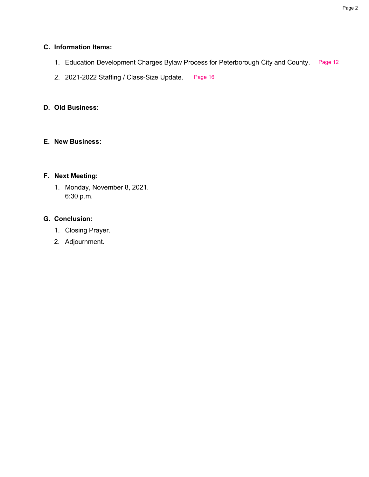#### **C. Information Items:**

- 1. Education Development Charges Bylaw Process for Peterborough City and County. [Page 12](#page-11-0)
- 2. 2021-2022 Staffing / Class-Size Update. [Page 16](#page-15-0)

#### **D. Old Business:**

#### **E. New Business:**

#### **F. Next Meeting:**

1. Monday, November 8, 2021. 6:30 p.m.

#### **G. Conclusion:**

- 1. Closing Prayer.
- 2. Adjournment.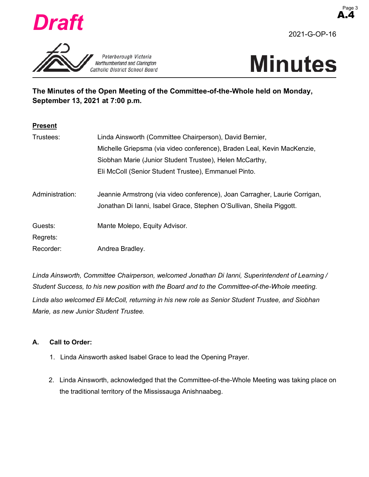<span id="page-2-0"></span>

Peterborough Victoria Northumberland and Clarington Catholic District School Board 2021-G-OP-16

## **The Minutes of the Open Meeting of the Committee-of-the-Whole held on Monday, September 13, 2021 at 7:00 p.m.**

| <b>Present</b>  |                                                                            |
|-----------------|----------------------------------------------------------------------------|
| Trustees:       | Linda Ainsworth (Committee Chairperson), David Bernier,                    |
|                 | Michelle Griepsma (via video conference), Braden Leal, Kevin MacKenzie,    |
|                 | Siobhan Marie (Junior Student Trustee), Helen McCarthy,                    |
|                 | Eli McColl (Senior Student Trustee), Emmanuel Pinto.                       |
|                 |                                                                            |
| Administration: | Jeannie Armstrong (via video conference), Joan Carragher, Laurie Corrigan, |
|                 | Jonathan Di Ianni, Isabel Grace, Stephen O'Sullivan, Sheila Piggott.       |
|                 |                                                                            |
| Guests:         | Mante Molepo, Equity Advisor.                                              |
| Regrets:        |                                                                            |
| Recorder:       | Andrea Bradley.                                                            |

*Linda Ainsworth, Committee Chairperson, welcomed Jonathan Di Ianni, Superintendent of Learning / Student Success, to his new position with the Board and to the Committee-of-the-Whole meeting. Linda also welcomed Eli McColl, returning in his new role as Senior Student Trustee, and Siobhan Marie, as new Junior Student Trustee.* 

#### **A. Call to Order:**

- 1. Linda Ainsworth asked Isabel Grace to lead the Opening Prayer.
- 2. Linda Ainsworth, acknowledged that the Committee-of-the-Whole Meeting was taking place on the traditional territory of the Mississauga Anishnaabeg.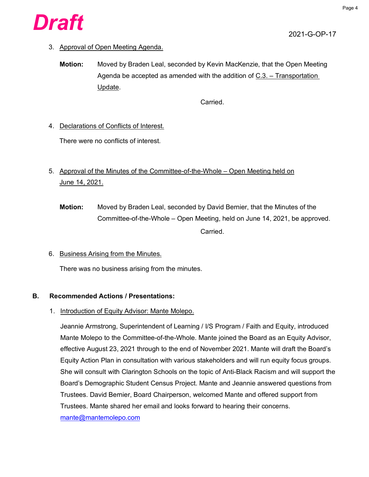

3. Approval of Open Meeting Agenda.

**Motion:** Moved by Braden Leal, seconded by Kevin MacKenzie, that the Open Meeting Agenda be accepted as amended with the addition of  $C.3. -$  Transportation Update.

Carried.

4. Declarations of Conflicts of Interest.

There were no conflicts of interest.

- 5. Approval of the Minutes of the Committee-of-the-Whole Open Meeting held on June 14, 2021.
	- **Motion:** Moved by Braden Leal, seconded by David Bernier, that the Minutes of the Committee-of-the-Whole – Open Meeting, held on June 14, 2021, be approved. Carried.
- 6. Business Arising from the Minutes.

There was no business arising from the minutes.

#### **B. Recommended Actions / Presentations:**

1. Introduction of Equity Advisor: Mante Molepo.

Jeannie Armstrong, Superintendent of Learning / I/S Program / Faith and Equity, introduced Mante Molepo to the Committee-of-the-Whole. Mante joined the Board as an Equity Advisor, effective August 23, 2021 through to the end of November 2021. Mante will draft the Board's Equity Action Plan in consultation with various stakeholders and will run equity focus groups. She will consult with Clarington Schools on the topic of Anti-Black Racism and will support the Board's Demographic Student Census Project. Mante and Jeannie answered questions from Trustees. David Bernier, Board Chairperson, welcomed Mante and offered support from Trustees. Mante shared her email and looks forward to hearing their concerns. mante@mantemolepo.com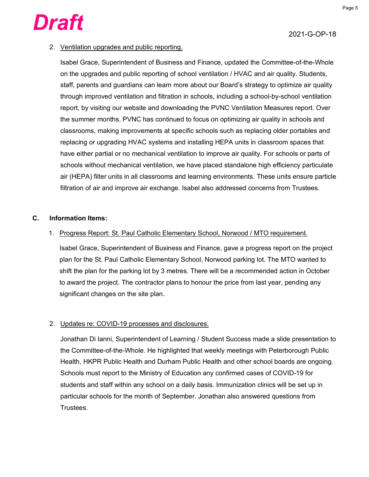

#### 2. Ventilation upgrades and public reporting.

Isabel Grace, Superintendent of Business and Finance, updated the Committee-of-the-Whole on the upgrades and public reporting of school ventilation / HVAC and air quality. Students, staff, parents and guardians can learn more about our Board's strategy to optimize air quality through improved ventilation and filtration in schools, including a school-by-school ventilation report, by visiting our website and downloading the PVNC Ventilation Measures report. Over the summer months, PVNC has continued to focus on optimizing air quality in schools and classrooms, making improvements at specific schools such as replacing older portables and replacing or upgrading HVAC systems and installing HEPA units in classroom spaces that have either partial or no mechanical ventilation to improve air quality. For schools or parts of schools without mechanical ventilation, we have placed standalone high efficiency particulate air (HEPA) filter units in all classrooms and learning environments. These units ensure particle filtration of air and improve air exchange. Isabel also addressed concerns from Trustees.

#### **C. Information Items:**

#### 1. Progress Report: St. Paul Catholic Elementary School, Norwood / MTO requirement.

Isabel Grace, Superintendent of Business and Finance, gave a progress report on the project plan for the St. Paul Catholic Elementary School, Norwood parking lot. The MTO wanted to shift the plan for the parking lot by 3 metres. There will be a recommended action in October to award the project. The contractor plans to honour the price from last year, pending any significant changes on the site plan.

#### 2. Updates re: COVID-19 processes and disclosures.

Jonathan Di Ianni, Superintendent of Learning / Student Success made a slide presentation to the Committee-of-the-Whole. He highlighted that weekly meetings with Peterborough Public Health, HKPR Public Health and Durham Public Health and other school boards are ongoing. Schools must report to the Ministry of Education any confirmed cases of COVID-19 for students and staff within any school on a daily basis. Immunization clinics will be set up in particular schools for the month of September. Jonathan also answered questions from Trustees.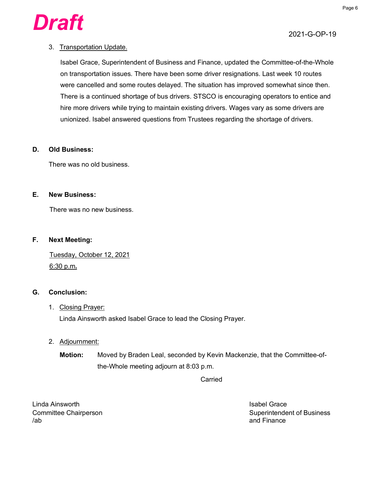

#### 3. Transportation Update.

Isabel Grace, Superintendent of Business and Finance, updated the Committee-of-the-Whole on transportation issues. There have been some driver resignations. Last week 10 routes were cancelled and some routes delayed. The situation has improved somewhat since then. There is a continued shortage of bus drivers. STSCO is encouraging operators to entice and hire more drivers while trying to maintain existing drivers. Wages vary as some drivers are unionized. Isabel answered questions from Trustees regarding the shortage of drivers.

#### **D. Old Business:**

There was no old business.

#### **E. New Business:**

There was no new business.

#### **F. Next Meeting:**

Tuesday, October 12, 2021 6:30 p.m**.** 

#### **G. Conclusion:**

#### 1. Closing Prayer:

Linda Ainsworth asked Isabel Grace to lead the Closing Prayer.

#### 2. Adjournment:

**Motion:** Moved by Braden Leal, seconded by Kevin Mackenzie, that the Committee-ofthe-Whole meeting adjourn at 8:03 p.m.

Carried

Linda Ainsworth Isabel Grace /ab and Finance

Committee Chairperson Superintendent of Business Committee Chairperson Superintendent of Business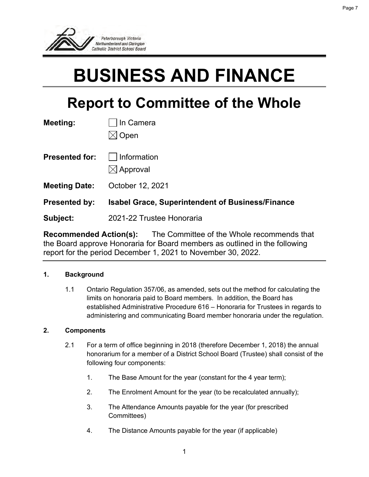<span id="page-6-0"></span>

# **BUSINESS AND FINANCE**

# **Report to Committee of the Whole**

| Meeting:              | In Camera<br>Open                                       |
|-----------------------|---------------------------------------------------------|
| <b>Presented for:</b> | Information<br>$\boxtimes$ Approval                     |
| <b>Meeting Date:</b>  | October 12, 2021                                        |
| <b>Presented by:</b>  | <b>Isabel Grace, Superintendent of Business/Finance</b> |
| Subject:              | 2021-22 Trustee Honoraria                               |

**Recommended Action(s):** The Committee of the Whole recommends that the Board approve Honoraria for Board members as outlined in the following report for the period December 1, 2021 to November 30, 2022.

#### **1. Background**

1.1 Ontario Regulation 357/06, as amended, sets out the method for calculating the limits on honoraria paid to Board members. In addition, the Board has established Administrative Procedure 616 – Honoraria for Trustees in regards to administering and communicating Board member honoraria under the regulation.

#### **2. Components**

- 2.1 For a term of office beginning in 2018 (therefore December 1, 2018) the annual honorarium for a member of a District School Board (Trustee) shall consist of the following four components:
	- 1. The Base Amount for the year (constant for the 4 year term);
	- 2. The Enrolment Amount for the year (to be recalculated annually);
	- 3. The Attendance Amounts payable for the year (for prescribed Committees)
	- 4. The Distance Amounts payable for the year (if applicable)

Page 7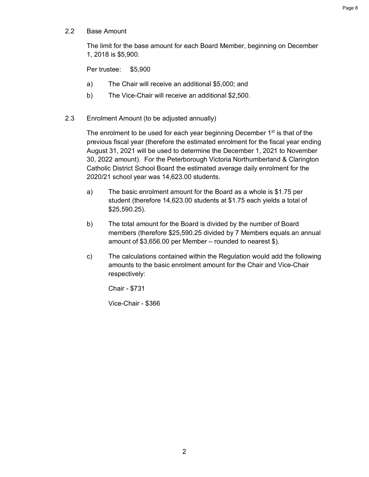2.2 Base Amount

The limit for the base amount for each Board Member, beginning on December 1, 2018 is \$5,900.

Per trustee: \$5,900

- a) The Chair will receive an additional \$5,000; and
- b) The Vice-Chair will receive an additional \$2,500.
- 2.3 Enrolment Amount (to be adjusted annually)

The enrolment to be used for each year beginning December  $1<sup>st</sup>$  is that of the previous fiscal year (therefore the estimated enrolment for the fiscal year ending August 31, 2021 will be used to determine the December 1, 2021 to November 30, 2022 amount). For the Peterborough Victoria Northumberland & Clarington Catholic District School Board the estimated average daily enrolment for the 2020/21 school year was 14,623.00 students.

- a) The basic enrolment amount for the Board as a whole is \$1.75 per student (therefore 14,623.00 students at \$1.75 each yields a total of \$25,590.25).
- b) The total amount for the Board is divided by the number of Board members (therefore \$25,590.25 divided by 7 Members equals an annual amount of \$3,656.00 per Member – rounded to nearest \$).
- c) The calculations contained within the Regulation would add the following amounts to the basic enrolment amount for the Chair and Vice-Chair respectively:

Chair - \$731

Vice-Chair - \$366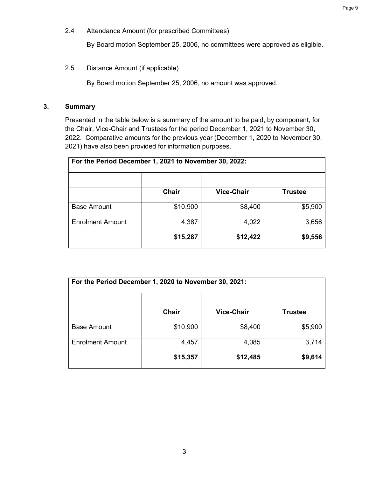2.4 Attendance Amount (for prescribed Committees)

By Board motion September 25, 2006, no committees were approved as eligible.

2.5 Distance Amount (if applicable)

By Board motion September 25, 2006, no amount was approved.

#### **3. Summary**

Presented in the table below is a summary of the amount to be paid, by component, for the Chair, Vice-Chair and Trustees for the period December 1, 2021 to November 30, 2022. Comparative amounts for the previous year (December 1, 2020 to November 30, 2021) have also been provided for information purposes.

| For the Period December 1, 2021 to November 30, 2022: |              |                   |                |
|-------------------------------------------------------|--------------|-------------------|----------------|
|                                                       |              |                   |                |
|                                                       | <b>Chair</b> | <b>Vice-Chair</b> | <b>Trustee</b> |
| <b>Base Amount</b>                                    | \$10,900     | \$8,400           | \$5,900        |
| <b>Enrolment Amount</b>                               | 4,387        | 4,022             | 3,656          |
|                                                       | \$15,287     | \$12,422          | \$9,556        |

| For the Period December 1, 2020 to November 30, 2021: |              |                   |                |
|-------------------------------------------------------|--------------|-------------------|----------------|
|                                                       | <b>Chair</b> | <b>Vice-Chair</b> | <b>Trustee</b> |
| <b>Base Amount</b>                                    | \$10,900     | \$8,400           | \$5,900        |
| <b>Enrolment Amount</b>                               | 4,457        | 4,085             | 3,714          |
|                                                       | \$15,357     | \$12,485          | \$9,614        |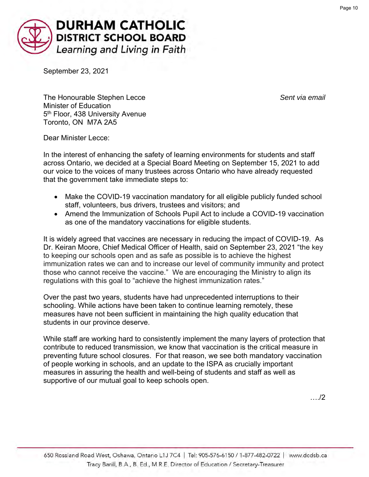<span id="page-9-0"></span>

September 23, 2021

The Honourable Stephen Lecce *Sent via email* Minister of Education 5<sup>th</sup> Floor, 438 University Avenue Toronto, ON M7A 2A5

Dear Minister Lecce:

In the interest of enhancing the safety of learning environments for students and staff across Ontario, we decided at a Special Board Meeting on September 15, 2021 to add our voice to the voices of many trustees across Ontario who have already requested that the government take immediate steps to:

- Make the COVID-19 vaccination mandatory for all eligible publicly funded school staff, volunteers, bus drivers, trustees and visitors; and
- Amend the Immunization of Schools Pupil Act to include a COVID-19 vaccination as one of the mandatory vaccinations for eligible students.

It is widely agreed that vaccines are necessary in reducing the impact of COVID-19. As Dr. Keiran Moore, Chief Medical Officer of Health, said on September 23, 2021 "the key to keeping our schools open and as safe as possible is to achieve the highest immunization rates we can and to increase our level of community immunity and protect those who cannot receive the vaccine." We are encouraging the Ministry to align its regulations with this goal to "achieve the highest immunization rates."

Over the past two years, students have had unprecedented interruptions to their schooling. While actions have been taken to continue learning remotely, these measures have not been sufficient in maintaining the high quality education that students in our province deserve.

While staff are working hard to consistently implement the many layers of protection that contribute to reduced transmission, we know that vaccination is the critical measure in preventing future school closures. For that reason, we see both mandatory vaccination of people working in schools, and an update to the ISPA as crucially important measures in assuring the health and well-being of students and staff as well as supportive of our mutual goal to keep schools open.

…./2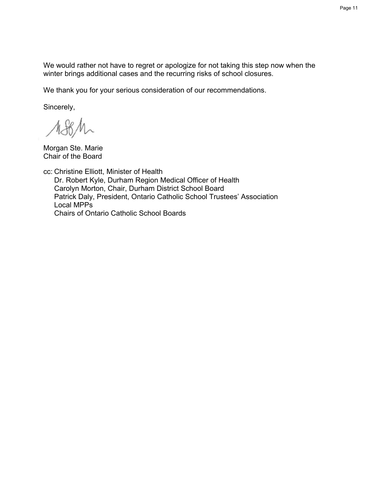We would rather not have to regret or apologize for not taking this step now when the winter brings additional cases and the recurring risks of school closures.

We thank you for your serious consideration of our recommendations.

Sincerely,

1881

Morgan Ste. Marie Chair of the Board

cc: Christine Elliott, Minister of Health Dr. Robert Kyle, Durham Region Medical Officer of Health Carolyn Morton, Chair, Durham District School Board Patrick Daly, President, Ontario Catholic School Trustees' Association Local MPPs Chairs of Ontario Catholic School Boards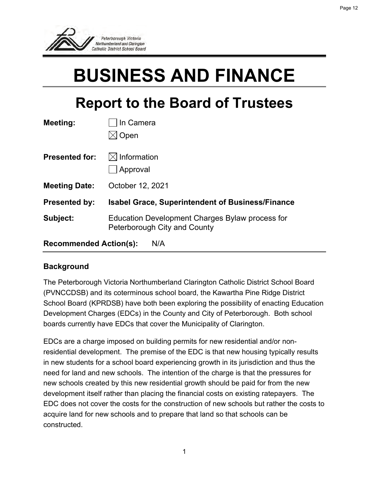<span id="page-11-0"></span>

# **BUSINESS AND FINANCE**

# **Report to the Board of Trustees**

| Meeting:                      | In Camera                                                                       |  |
|-------------------------------|---------------------------------------------------------------------------------|--|
|                               | Open                                                                            |  |
| <b>Presented for:</b>         | $\bowtie$ Information<br>Approval                                               |  |
| <b>Meeting Date:</b>          | October 12, 2021                                                                |  |
| <b>Presented by:</b>          | <b>Isabel Grace, Superintendent of Business/Finance</b>                         |  |
| Subject:                      | Education Development Charges Bylaw process for<br>Peterborough City and County |  |
| <b>Recommended Action(s):</b> | N/A                                                                             |  |

## **Background**

The Peterborough Victoria Northumberland Clarington Catholic District School Board (PVNCCDSB) and its coterminous school board, the Kawartha Pine Ridge District School Board (KPRDSB) have both been exploring the possibility of enacting Education Development Charges (EDCs) in the County and City of Peterborough. Both school boards currently have EDCs that cover the Municipality of Clarington.

EDCs are a charge imposed on building permits for new residential and/or nonresidential development. The premise of the EDC is that new housing typically results in new students for a school board experiencing growth in its jurisdiction and thus the need for land and new schools. The intention of the charge is that the pressures for new schools created by this new residential growth should be paid for from the new development itself rather than placing the financial costs on existing ratepayers. The EDC does not cover the costs for the construction of new schools but rather the costs to acquire land for new schools and to prepare that land so that schools can be constructed.

Page 12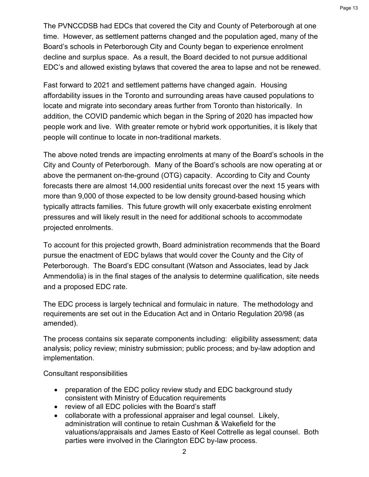The PVNCCDSB had EDCs that covered the City and County of Peterborough at one time. However, as settlement patterns changed and the population aged, many of the Board's schools in Peterborough City and County began to experience enrolment decline and surplus space. As a result, the Board decided to not pursue additional EDC's and allowed existing bylaws that covered the area to lapse and not be renewed.

Fast forward to 2021 and settlement patterns have changed again. Housing affordability issues in the Toronto and surrounding areas have caused populations to locate and migrate into secondary areas further from Toronto than historically. In addition, the COVID pandemic which began in the Spring of 2020 has impacted how people work and live. With greater remote or hybrid work opportunities, it is likely that people will continue to locate in non-traditional markets.

The above noted trends are impacting enrolments at many of the Board's schools in the City and County of Peterborough. Many of the Board's schools are now operating at or above the permanent on-the-ground (OTG) capacity. According to City and County forecasts there are almost 14,000 residential units forecast over the next 15 years with more than 9,000 of those expected to be low density ground-based housing which typically attracts families. This future growth will only exacerbate existing enrolment pressures and will likely result in the need for additional schools to accommodate projected enrolments.

To account for this projected growth, Board administration recommends that the Board pursue the enactment of EDC bylaws that would cover the County and the City of Peterborough. The Board's EDC consultant (Watson and Associates, lead by Jack Ammendolia) is in the final stages of the analysis to determine qualification, site needs and a proposed EDC rate.

The EDC process is largely technical and formulaic in nature. The methodology and requirements are set out in the Education Act and in Ontario Regulation 20/98 (as amended).

The process contains six separate components including: eligibility assessment; data analysis; policy review; ministry submission; public process; and by-law adoption and implementation.

Consultant responsibilities

- preparation of the EDC policy review study and EDC background study consistent with Ministry of Education requirements
- review of all EDC policies with the Board's staff
- collaborate with a professional appraiser and legal counsel. Likely, administration will continue to retain Cushman & Wakefield for the valuations/appraisals and James Easto of Keel Cottrelle as legal counsel. Both parties were involved in the Clarington EDC by-law process.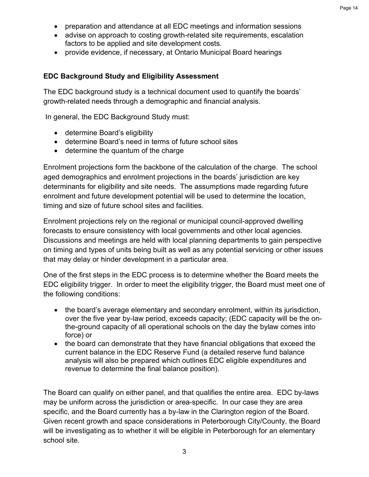- preparation and attendance at all EDC meetings and information sessions
- advise on approach to costing growth-related site requirements, escalation factors to be applied and site development costs.
- provide evidence, if necessary, at Ontario Municipal Board hearings

#### **EDC Background Study and Eligibility Assessment**

The EDC background study is a technical document used to quantify the boards' growth-related needs through a demographic and financial analysis.

In general, the EDC Background Study must:

- determine Board's eligibility
- determine Board's need in terms of future school sites
- determine the quantum of the charge

Enrolment projections form the backbone of the calculation of the charge. The school aged demographics and enrolment projections in the boards' jurisdiction are key determinants for eligibility and site needs. The assumptions made regarding future enrolment and future development potential will be used to determine the location, timing and size of future school sites and facilities.

Enrolment projections rely on the regional or municipal council-approved dwelling forecasts to ensure consistency with local governments and other local agencies. Discussions and meetings are held with local planning departments to gain perspective on timing and types of units being built as well as any potential servicing or other issues that may delay or hinder development in a particular area.

One of the first steps in the EDC process is to determine whether the Board meets the EDC eligibility trigger. In order to meet the eligibility trigger, the Board must meet one of the following conditions:

- the board's average elementary and secondary enrolment, within its jurisdiction, over the five year by-law period, exceeds capacity; (EDC capacity will be the onthe-ground capacity of all operational schools on the day the bylaw comes into force) or
- the board can demonstrate that they have financial obligations that exceed the current balance in the EDC Reserve Fund (a detailed reserve fund balance analysis will also be prepared which outlines EDC eligible expenditures and revenue to determine the final balance position).

The Board can qualify on either panel, and that qualifies the entire area. EDC by-laws may be uniform across the jurisdiction or area-specific. In our case they are area specific, and the Board currently has a by-law in the Clarington region of the Board. Given recent growth and space considerations in Peterborough City/County, the Board will be investigating as to whether it will be eligible in Peterborough for an elementary school site.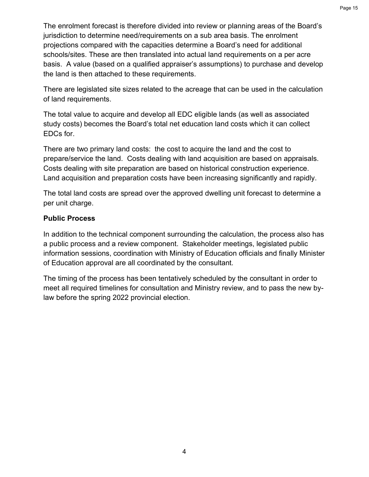The enrolment forecast is therefore divided into review or planning areas of the Board's jurisdiction to determine need/requirements on a sub area basis. The enrolment projections compared with the capacities determine a Board's need for additional schools/sites. These are then translated into actual land requirements on a per acre basis. A value (based on a qualified appraiser's assumptions) to purchase and develop the land is then attached to these requirements.

There are legislated site sizes related to the acreage that can be used in the calculation of land requirements.

The total value to acquire and develop all EDC eligible lands (as well as associated study costs) becomes the Board's total net education land costs which it can collect EDCs for.

There are two primary land costs: the cost to acquire the land and the cost to prepare/service the land. Costs dealing with land acquisition are based on appraisals. Costs dealing with site preparation are based on historical construction experience. Land acquisition and preparation costs have been increasing significantly and rapidly.

The total land costs are spread over the approved dwelling unit forecast to determine a per unit charge.

### **Public Process**

In addition to the technical component surrounding the calculation, the process also has a public process and a review component. Stakeholder meetings, legislated public information sessions, coordination with Ministry of Education officials and finally Minister of Education approval are all coordinated by the consultant.

The timing of the process has been tentatively scheduled by the consultant in order to meet all required timelines for consultation and Ministry review, and to pass the new bylaw before the spring 2022 provincial election.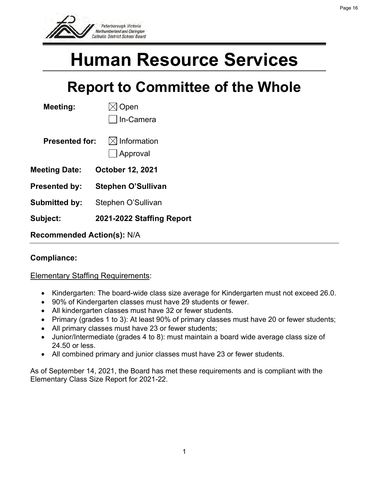<span id="page-15-0"></span>

# **Human Resource Services**

# **Report to Committee of the Whole**

| Meeting:                          | Open<br>In-Camera                 |  |
|-----------------------------------|-----------------------------------|--|
| Presented for:                    | $\bowtie$ Information<br>Approval |  |
| Meeting Date:                     | <b>October 12, 2021</b>           |  |
| <b>Presented by:</b>              | <b>Stephen O'Sullivan</b>         |  |
| <b>Submitted by:</b>              | Stephen O'Sullivan                |  |
| <b>Subject:</b>                   | 2021-2022 Staffing Report         |  |
| <b>Recommended Action(s): N/A</b> |                                   |  |

## **Compliance:**

### Elementary Staffing Requirements:

- Kindergarten: The board-wide class size average for Kindergarten must not exceed 26.0.
- 90% of Kindergarten classes must have 29 students or fewer.
- All kindergarten classes must have 32 or fewer students.
- Primary (grades 1 to 3): At least 90% of primary classes must have 20 or fewer students;
- All primary classes must have 23 or fewer students;
- Junior/Intermediate (grades 4 to 8): must maintain a board wide average class size of 24.50 or less.
- All combined primary and junior classes must have 23 or fewer students.

As of September 14, 2021, the Board has met these requirements and is compliant with the Elementary Class Size Report for 2021-22.